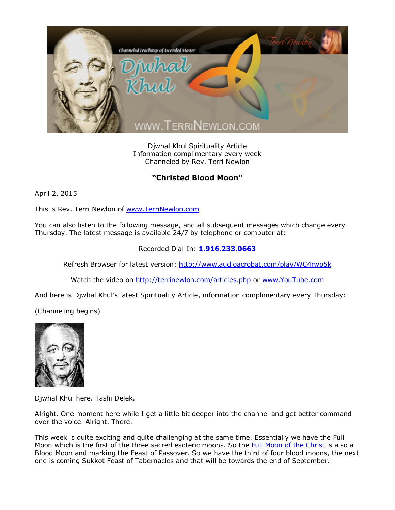

Djwhal Khul Spirituality Article Information complimentary every week Channeled by Rev. Terri Newlon

## **"Christed Blood Moon"**

April 2, 2015

This is Rev. Terri Newlon of [www.TerriNewlon.com](http://www.terrinewlon.com/)

You can also listen to the following message, and all subsequent messages which change every Thursday. The latest message is available 24/7 by telephone or computer at:

## Recorded Dial-In: **1.916.233.0663**

Refresh Browser for latest version: <http://www.audioacrobat.com/play/WC4rwp5k>

Watch the video on <http://terrinewlon.com/articles.php> or [www.YouTube.com](http://www.youtube.com/)

And here is Djwhal Khul's latest Spirituality Article, information complimentary every Thursday:

(Channeling begins)



Djwhal Khul here. Tashi Delek.

Alright. One moment here while I get a little bit deeper into the channel and get better command over the voice. Alright. There.

This week is quite exciting and quite challenging at the same time. Essentially we have the Full Moon which is the first of the three sacred esoteric moons. So the [Full Moon of the Christ](http://www.terrinewlon.com/telecourses.php) is also a Blood Moon and marking the Feast of Passover. So we have the third of four blood moons, the next one is coming Sukkot Feast of Tabernacles and that will be towards the end of September.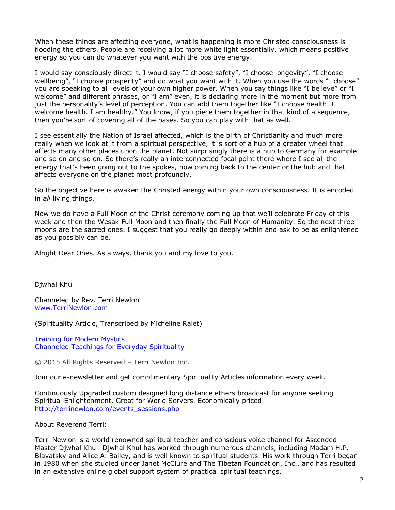When these things are affecting everyone, what is happening is more Christed consciousness is flooding the ethers. People are receiving a lot more white light essentially, which means positive energy so you can do whatever you want with the positive energy.

I would say consciously direct it. I would say "I choose safety", "I choose longevity", "I choose wellbeing", "I choose prosperity" and do what you want with it. When you use the words "I choose" you are speaking to all levels of your own higher power. When you say things like "I believe" or "I welcome" and different phrases, or "I am" even, it is declaring more in the moment but more from just the personality's level of perception. You can add them together like "I choose health. I welcome health. I am healthy." You know, if you piece them together in that kind of a sequence, then you're sort of covering all of the bases. So you can play with that as well.

I see essentially the Nation of Israel affected, which is the birth of Christianity and much more really when we look at it from a spiritual perspective, it is sort of a hub of a greater wheel that affects many other places upon the planet. Not surprisingly there is a hub to Germany for example and so on and so on. So there's really an interconnected focal point there where I see all the energy that's been going out to the spokes, now coming back to the center or the hub and that affects everyone on the planet most profoundly.

So the objective here is awaken the Christed energy within your own consciousness. It is encoded in *all* living things.

Now we do have a Full Moon of the Christ ceremony coming up that we'll celebrate Friday of this week and then the Wesak Full Moon and then finally the Full Moon of Humanity. So the next three moons are the sacred ones. I suggest that you really go deeply within and ask to be as enlightened as you possibly can be.

Alright Dear Ones. As always, thank you and my love to you.

Djwhal Khul

Channeled by Rev. Terri Newlon [www.TerriNewlon.com](http://www.terrinewlon.com/)

(Spirituality Article, Transcribed by Micheline Ralet)

Training for Modern Mystics [Channeled Teachings for Everyday Spirituality](http://www.terrinewlon.com/)

© 2015 All Rights Reserved – Terri Newlon Inc.

Join our e-newsletter and get complimentary Spirituality Articles information every week.

Continuously Upgraded custom designed long distance ethers broadcast for anyone seeking Spiritual Enlightenment. Great for World Servers. Economically priced. http://terrinewlon.com/events\_sessions.php

About Reverend Terri:

Terri Newlon is a world renowned spiritual teacher and conscious voice channel for Ascended Master Djwhal Khul. Djwhal Khul has worked through numerous channels, including Madam H.P. Blavatsky and Alice A. Bailey, and is well known to spiritual students. His work through Terri began in 1980 when she studied under Janet McClure and The Tibetan Foundation, Inc., and has resulted in an extensive online global support system of practical spiritual teachings.